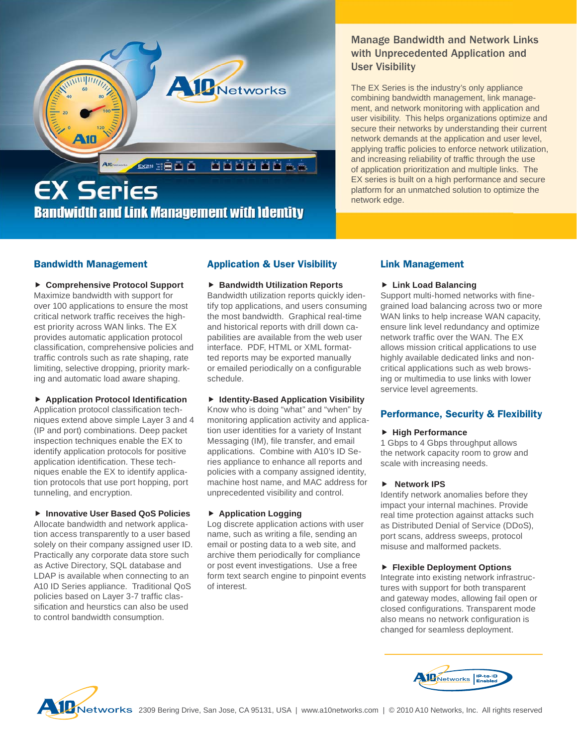

# Manage Bandwidth and Network Links with Unprecedented Application and User Visibility

The EX Series is the industry's only appliance combining bandwidth management, link management, and network monitoring with application and user visibility. This helps organizations optimize and secure their networks by understanding their current network demands at the application and user level, applying traffic policies to enforce network utilization, and increasing reliability of traffic through the use of application prioritization and multiple links. The EX series is built on a high performance and secure platform for an unmatched solution to optimize the network edge.

# **Bandwidth Management**

 **Comprehensive Protocol Support** Maximize bandwidth with support for over 100 applications to ensure the most critical network traffic receives the highest priority across WAN links. The EX provides automatic application protocol classification, comprehensive policies and traffic controls such as rate shaping, rate limiting, selective dropping, priority marking and automatic load aware shaping.

#### **Application Protocol Identification**

Application protocol classification techniques extend above simple Layer 3 and 4 (IP and port) combinations. Deep packet inspection techniques enable the EX to identify application protocols for positive application identification. These techniques enable the EX to identify application protocols that use port hopping, port tunneling, and encryption.

#### **Innovative User Based QoS Policies**

Allocate bandwidth and network application access transparently to a user based solely on their company assigned user ID. Practically any corporate data store such as Active Directory, SQL database and LDAP is available when connecting to an A10 ID Series appliance. Traditional QoS policies based on Layer 3-7 traffic classification and heurstics can also be used to control bandwidth consumption.

# **Application & User Visibility**

#### **Bandwidth Utilization Reports**

Bandwidth utilization reports quickly identify top applications, and users consuming the most bandwidth. Graphical real-time and historical reports with drill down capabilities are available from the web user interface. PDF, HTML or XML formatted reports may be exported manually or emailed periodically on a configurable schedule.

## **Identity-Based Application Visibility**

Know who is doing "what" and "when" by monitoring application activity and application user identities for a variety of Instant Messaging (IM), file transfer, and email applications. Combine with A10's ID Series appliance to enhance all reports and policies with a company assigned identity, machine host name, and MAC address for unprecedented visibility and control.

## **Application Logging**

Log discrete application actions with user name, such as writing a file, sending an email or posting data to a web site, and archive them periodically for compliance or post event investigations. Use a free form text search engine to pinpoint events of interest.

# **Link Management**

## **Link Load Balancing**

Support multi-homed networks with finegrained load balancing across two or more WAN links to help increase WAN capacity, ensure link level redundancy and optimize network traffic over the WAN. The EX allows mission critical applications to use highly available dedicated links and noncritical applications such as web browsing or multimedia to use links with lower service level agreements.

## **Performance, Security & Flexibility**

#### **High Performance**

1 Gbps to 4 Gbps throughput allows the network capacity room to grow and scale with increasing needs.

## **Network IPS**

Identify network anomalies before they impact your internal machines. Provide real time protection against attacks such as Distributed Denial of Service (DDoS), port scans, address sweeps, protocol misuse and malformed packets.

## **Flexible Deployment Options**

Integrate into existing network infrastructures with support for both transparent and gateway modes, allowing fail open or closed configurations. Transparent mode also means no network configuration is changed for seamless deployment.